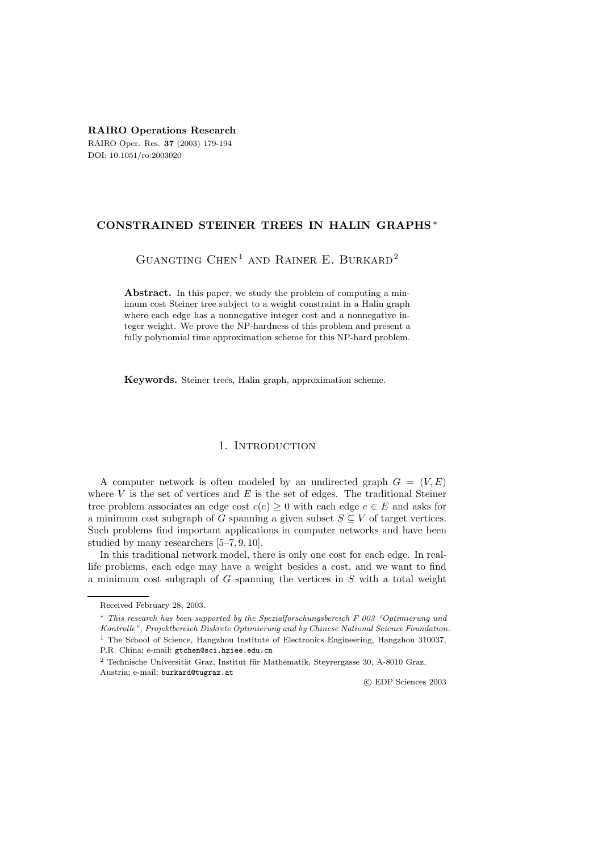**RAIRO Operations Research** RAIRO Oper. Res. **37** (2003) 179-194 DOI: 10.1051/ro:2003020

# **CONSTRAINED STEINER TREES IN HALIN GRAPHS** ∗

GUANGTING  $CHEN<sup>1</sup>$  AND RAINER E. BURKARD<sup>2</sup>

Abstract. In this paper, we study the problem of computing a minimum cost Steiner tree subject to a weight constraint in a Halin graph where each edge has a nonnegative integer cost and a nonnegative integer weight. We prove the NP-hardness of this problem and present a fully polynomial time approximation scheme for this NP-hard problem.

**Keywords.** Steiner trees, Halin graph, approximation scheme.

# 1. INTRODUCTION

A computer network is often modeled by an undirected graph  $G = (V, E)$ where  $V$  is the set of vertices and  $E$  is the set of edges. The traditional Steiner tree problem associates an edge cost  $c(e) \geq 0$  with each edge  $e \in E$  and asks for a minimum cost subgraph of G spanning a given subset  $S \subseteq V$  of target vertices. Such problems find important applications in computer networks and have been studied by many researchers [5–7, 9, 10].

In this traditional network model, there is only one cost for each edge. In reallife problems, each edge may have a weight besides a cost, and we want to find a minimum cost subgraph of  $G$  spanning the vertices in  $S$  with a total weight

c EDP Sciences 2003

Received February 28, 2003.

<sup>∗</sup> This research has been supported by the Spezialforschungsbereich F 003 "Optimierung und Kontrolle", Projektbereich Diskrete Optimierung and by Chinese National Science Foundation. <sup>1</sup> The School of Science, Hangzhou Institute of Electronics Engineering, Hangzhou 310037, P.R. China; e-mail: gtchen@sci.hziee.edu.cn

 $2$  Technische Universität Graz, Institut für Mathematik, Steyrergasse 30, A-8010 Graz, Austria; e-mail: burkard@tugraz.at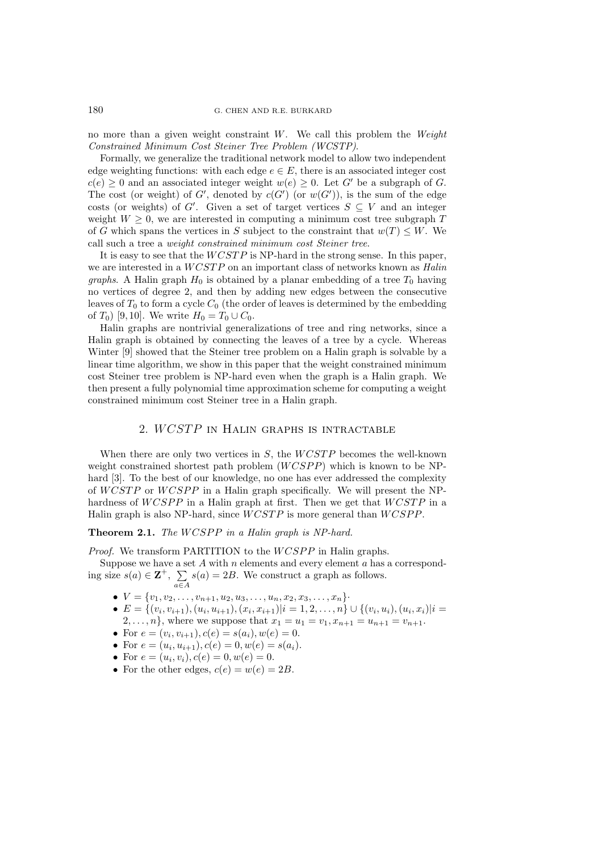no more than a given weight constraint W. We call this problem the *Weight Constrained Minimum Cost Steiner Tree Problem (WCSTP)*.

Formally, we generalize the traditional network model to allow two independent edge weighting functions: with each edge  $e \in E$ , there is an associated integer cost  $c(e) > 0$  and an associated integer weight  $w(e) > 0$ . Let G' be a subgraph of G. The cost (or weight) of G', denoted by  $c(G')$  (or  $w(G')$ ), is the sum of the edge costs (or weights) of G'. Given a set of target vertices  $S \subseteq V$  and an integer weight  $W \geq 0$ , we are interested in computing a minimum cost tree subgraph T of G which spans the vertices in S subject to the constraint that  $w(T) \leq W$ . We call such a tree a *weight constrained minimum cost Steiner tree*.

It is easy to see that the  $WCSTP$  is NP-hard in the strong sense. In this paper, we are interested in a WCSTP on an important class of networks known as *Halin graphs*. A Halin graph  $H_0$  is obtained by a planar embedding of a tree  $T_0$  having no vertices of degree 2, and then by adding new edges between the consecutive leaves of  $T_0$  to form a cycle  $C_0$  (the order of leaves is determined by the embedding of  $T_0$ ) [9, 10]. We write  $H_0 = T_0 \cup C_0$ .

Halin graphs are nontrivial generalizations of tree and ring networks, since a Halin graph is obtained by connecting the leaves of a tree by a cycle. Whereas Winter [9] showed that the Steiner tree problem on a Halin graph is solvable by a linear time algorithm, we show in this paper that the weight constrained minimum cost Steiner tree problem is NP-hard even when the graph is a Halin graph. We then present a fully polynomial time approximation scheme for computing a weight constrained minimum cost Steiner tree in a Halin graph.

# 2. WCSTP in Halin graphs is intractable

When there are only two vertices in  $S$ , the  $WCSTP$  becomes the well-known weight constrained shortest path problem (WCSPP) which is known to be NPhard [3]. To the best of our knowledge, no one has ever addressed the complexity of WCSTP or WCSPP in a Halin graph specifically. We will present the NPhardness of  $WCSPP$  in a Halin graph at first. Then we get that  $WCSTP$  in a Halin graph is also NP-hard, since WCSTP is more general than WCSPP.

### **Theorem 2.1.** *The* WCSPP *in a Halin graph is NP-hard.*

*Proof.* We transform PARTITION to the  $WCSPP$  in Halin graphs.

Suppose we have a set  $A$  with  $n$  elements and every element  $a$  has a corresponding size  $s(a) \in \mathbf{Z}^+$ ,  $\sum$  $s(a)=2B$ . We construct a graph as follows.

- $V = \{v_1, v_2, \ldots, v_{n+1}, u_2, u_3, \ldots, u_n, x_2, x_3, \ldots, x_n\}$
- $E = \{(v_i, v_{i+1}), (u_i, u_{i+1}), (x_i, x_{i+1})|i = 1, 2, \ldots, n\} \cup \{(v_i, u_i), (u_i, x_i)|i =$  $2, \ldots, n$ , where we suppose that  $x_1 = u_1 = v_1, x_{n+1} = u_{n+1} = v_{n+1}$ .
- For  $e = (v_i, v_{i+1}), c(e) = s(a_i), w(e) = 0.$
- For  $e = (u_i, u_{i+1}), c(e) = 0, w(e) = s(a_i).$
- For  $e = (u_i, v_i), c(e) = 0, w(e) = 0.$

a∈A

• For the other edges,  $c(e) = w(e) = 2B$ .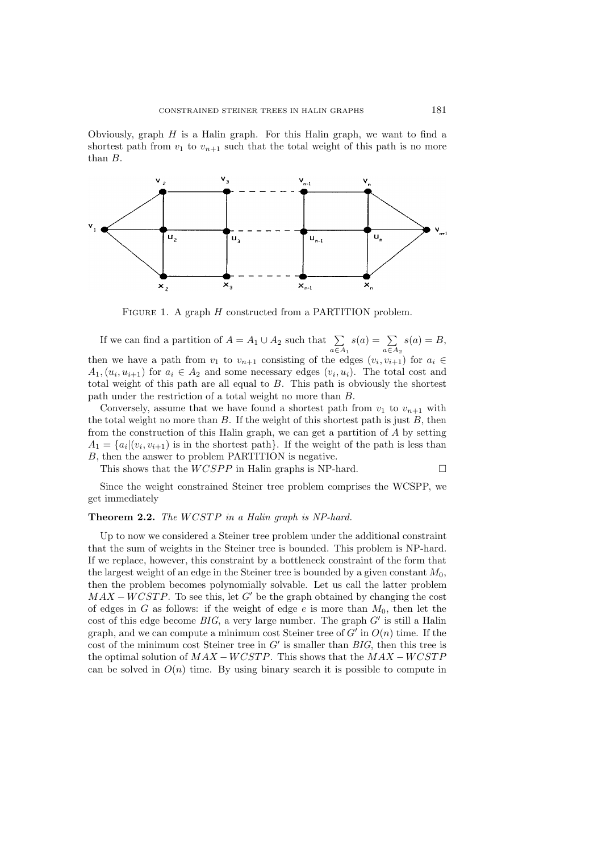Obviously, graph  $H$  is a Halin graph. For this Halin graph, we want to find a shortest path from  $v_1$  to  $v_{n+1}$  such that the total weight of this path is no more than B.



FIGURE 1. A graph H constructed from a PARTITION problem.

If we can find a partition of  $A = A_1 \cup A_2$  such that  $\sum$  $a \in A_1$  $s(a) = \sum$  $a \in A_2$  $s(a) = B$ , then we have a path from  $v_1$  to  $v_{n+1}$  consisting of the edges  $(v_i, v_{i+1})$  for  $a_i \in$  $A_1,(u_i,u_{i+1})$  for  $a_i \in A_2$  and some necessary edges  $(v_i,u_i)$ . The total cost and total weight of this path are all equal to  $B$ . This path is obviously the shortest path under the restriction of a total weight no more than B.

Conversely, assume that we have found a shortest path from  $v_1$  to  $v_{n+1}$  with the total weight no more than  $B$ . If the weight of this shortest path is just  $B$ , then from the construction of this Halin graph, we can get a partition of A by setting  $A_1 = \{a_i | (v_i, v_{i+1})$  is in the shortest path}. If the weight of the path is less than B, then the answer to problem PARTITION is negative.

This shows that the  $WCSPP$  in Halin graphs is NP-hard.  $\square$ 

Since the weight constrained Steiner tree problem comprises the WCSPP, we get immediately

### **Theorem 2.2.** *The* WCSTP *in a Halin graph is NP-hard.*

Up to now we considered a Steiner tree problem under the additional constraint that the sum of weights in the Steiner tree is bounded. This problem is NP-hard. If we replace, however, this constraint by a bottleneck constraint of the form that the largest weight of an edge in the Steiner tree is bounded by a given constant  $M_0$ , then the problem becomes polynomially solvable. Let us call the latter problem  $MAX - WCSTP$ . To see this, let G' be the graph obtained by changing the cost of edges in G as follows: if the weight of edge  $e$  is more than  $M_0$ , then let the cost of this edge become  $BIG$ , a very large number. The graph  $G'$  is still a Halin graph, and we can compute a minimum cost Steiner tree of  $G'$  in  $O(n)$  time. If the cost of the minimum cost Steiner tree in  $G'$  is smaller than  $BIG$ , then this tree is the optimal solution of  $MAX - WCSTP$ . This shows that the  $MAX - WCSTP$ can be solved in  $O(n)$  time. By using binary search it is possible to compute in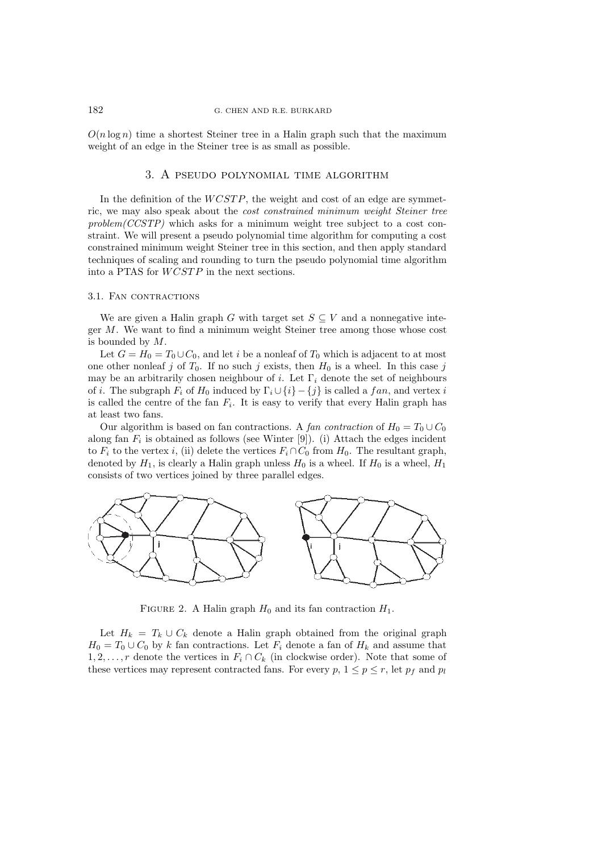#### 182 G. CHEN AND R.E. BURKARD

 $O(n \log n)$  time a shortest Steiner tree in a Halin graph such that the maximum weight of an edge in the Steiner tree is as small as possible.

# 3. A pseudo polynomial time algorithm

In the definition of the  $WCSTP$ , the weight and cost of an edge are symmetric, we may also speak about the *cost constrained minimum weight Steiner tree problem(CCSTP)* which asks for a minimum weight tree subject to a cost constraint. We will present a pseudo polynomial time algorithm for computing a cost constrained minimum weight Steiner tree in this section, and then apply standard techniques of scaling and rounding to turn the pseudo polynomial time algorithm into a PTAS for WCSTP in the next sections.

### 3.1. FAN CONTRACTIONS

We are given a Halin graph G with target set  $S \subseteq V$  and a nonnegative integer  $M$ . We want to find a minimum weight Steiner tree among those whose cost is bounded by  $M$ .

Let  $G = H_0 = T_0 \cup C_0$ , and let i be a nonleaf of  $T_0$  which is adjacent to at most one other nonleaf j of  $T_0$ . If no such j exists, then  $H_0$  is a wheel. In this case j may be an arbitrarily chosen neighbour of i. Let  $\Gamma_i$  denote the set of neighbours of *i*. The subgraph  $F_i$  of  $H_0$  induced by  $\Gamma_i \cup \{i\} - \{j\}$  is called a fan, and vertex *i* is called the centre of the fan  $F_i$ . It is easy to verify that every Halin graph has at least two fans.

Our algorithm is based on fan contractions. A *fan contraction* of  $H_0 = T_0 \cup C_0$ along fan  $F_i$  is obtained as follows (see Winter [9]). (i) Attach the edges incident to  $F_i$  to the vertex i, (ii) delete the vertices  $F_i \cap C_0$  from  $H_0$ . The resultant graph, denoted by  $H_1$ , is clearly a Halin graph unless  $H_0$  is a wheel. If  $H_0$  is a wheel,  $H_1$ consists of two vertices joined by three parallel edges.



FIGURE 2. A Halin graph  $H_0$  and its fan contraction  $H_1$ .

Let  $H_k = T_k \cup C_k$  denote a Halin graph obtained from the original graph  $H_0 = T_0 \cup C_0$  by k fan contractions. Let  $F_i$  denote a fan of  $H_k$  and assume that  $1, 2, \ldots, r$  denote the vertices in  $F_i \cap C_k$  (in clockwise order). Note that some of these vertices may represent contracted fans. For every p,  $1 \le p \le r$ , let  $p_f$  and  $p_l$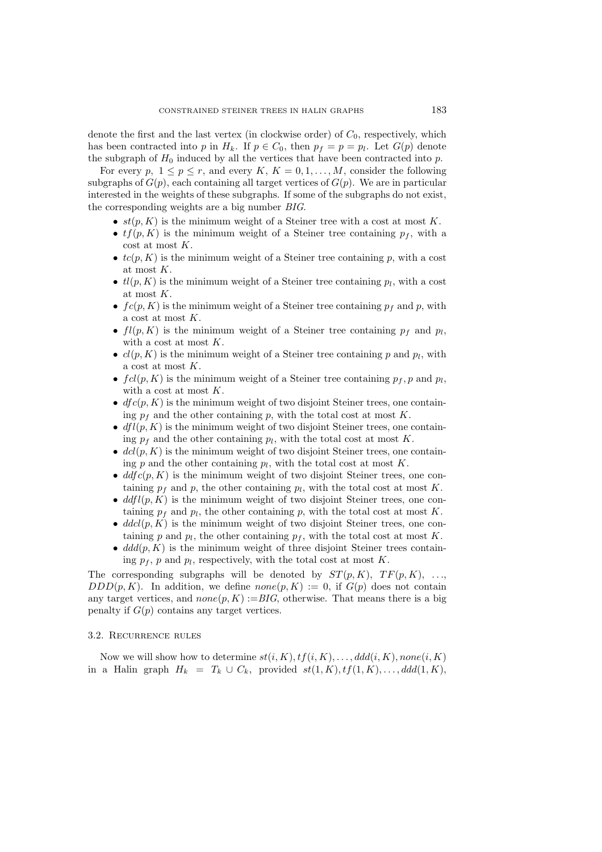denote the first and the last vertex (in clockwise order) of  $C_0$ , respectively, which has been contracted into p in  $H_k$ . If  $p \in C_0$ , then  $p_f = p = p_l$ . Let  $G(p)$  denote the subgraph of  $H_0$  induced by all the vertices that have been contracted into p.

For every p,  $1 \le p \le r$ , and every K,  $K = 0, 1, ..., M$ , consider the following subgraphs of  $G(p)$ , each containing all target vertices of  $G(p)$ . We are in particular interested in the weights of these subgraphs. If some of the subgraphs do not exist, the corresponding weights are a big number *BIG*.

- $st(p, K)$  is the minimum weight of a Steiner tree with a cost at most K.
- $tf(p, K)$  is the minimum weight of a Steiner tree containing  $p_f$ , with a cost at most K.
- $tc(p, K)$  is the minimum weight of a Steiner tree containing p, with a cost at most K.
- $tl(p, K)$  is the minimum weight of a Steiner tree containing  $p_l$ , with a cost at most K.
- $fc(p, K)$  is the minimum weight of a Steiner tree containing  $p_f$  and p, with a cost at most K.
- $fl(p, K)$  is the minimum weight of a Steiner tree containing  $p_f$  and  $p_l$ , with a cost at most K.
- $cl(p, K)$  is the minimum weight of a Steiner tree containing p and  $p_l$ , with a cost at most K.
- $fcl(p, K)$  is the minimum weight of a Steiner tree containing  $p_f, p$  and  $p_l$ , with a cost at most K.
- $dfc(p, K)$  is the minimum weight of two disjoint Steiner trees, one containing  $p_f$  and the other containing p, with the total cost at most K.
- $dfl(p, K)$  is the minimum weight of two disjoint Steiner trees, one containing  $p_f$  and the other containing  $p_l$ , with the total cost at most K.
- $dcl(p, K)$  is the minimum weight of two disjoint Steiner trees, one containing p and the other containing  $p_l$ , with the total cost at most K.
- $ddfc(p, K)$  is the minimum weight of two disjoint Steiner trees, one containing  $p_f$  and p, the other containing  $p_l$ , with the total cost at most K.
- $ddfl(p, K)$  is the minimum weight of two disjoint Steiner trees, one containing  $p_f$  and  $p_l$ , the other containing p, with the total cost at most K.
- $ddcl(p, K)$  is the minimum weight of two disjoint Steiner trees, one containing p and  $p_l$ , the other containing  $p_f$ , with the total cost at most K.
- $ddd(p, K)$  is the minimum weight of three disjoint Steiner trees containing  $p_f$ , p and  $p_l$ , respectively, with the total cost at most K.

The corresponding subgraphs will be denoted by  $ST(p, K)$ ,  $TF(p, K)$ , ...,  $DDD(p, K)$ . In addition, we define  $none(p, K) := 0$ , if  $G(p)$  does not contain any target vertices, and  $none(p, K) := BIG$ , otherwise. That means there is a big penalty if  $G(p)$  contains any target vertices.

### 3.2. Recurrence rules

Now we will show how to determine  $st(i, K), tf(i, K), \ldots, ddd(i, K), none(i, K)$ in a Halin graph  $H_k = T_k \cup C_k$ , provided  $st(1, K), tf(1, K), ..., ddd(1, K)$ ,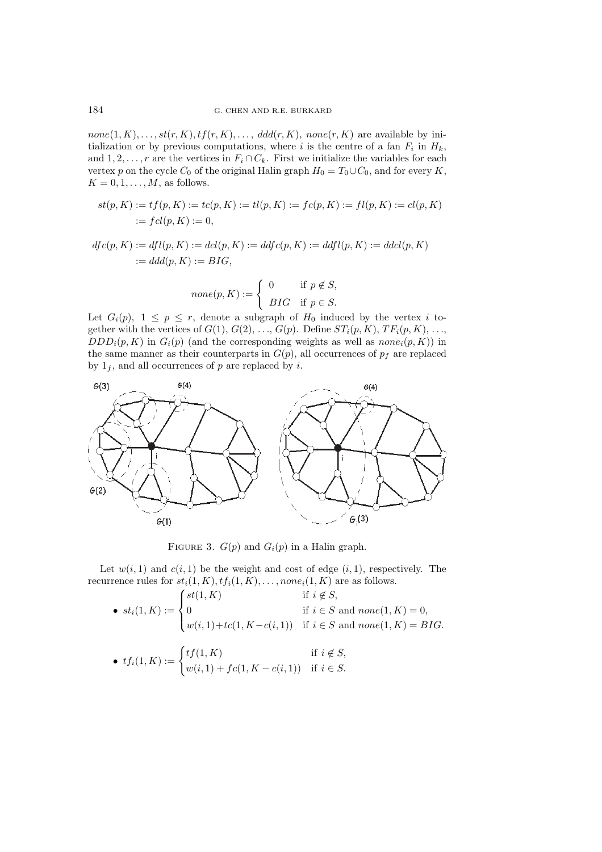$none(1, K), \ldots, st(r, K), tf(r, K), \ldots, ddd(r, K), none(r, K)$  are available by initialization or by previous computations, where i is the centre of a fan  $F_i$  in  $H_k$ , and  $1, 2, \ldots, r$  are the vertices in  $F_i \cap C_k$ . First we initialize the variables for each vertex p on the cycle  $C_0$  of the original Halin graph  $H_0 = T_0 \cup C_0$ , and for every K,  $K = 0, 1, \ldots, M$ , as follows.

$$
st(p, K) := tf(p, K) := tc(p, K) := tl(p, K) := fc(p, K) := fl(p, K) := cl(p, K) := cl(p, K) := cl(p, K) := cl(p, K) := cl(p, K) := cl(p, K) := cl(p, K) := cl(p, K) := cl(p, K) := cl(p, K) := cl(p, K) := cl(p, K) := cl(p, K) := cl(p, K) := cl(p, K) := cl(p, K) := cl(p, K) := cl(p, K) := cl(p, K) := cl(p, K) := cl(p, K) := cl(p, K) := cl(p, K) := cl(p, K) := cl(p, K) := cl(p, K) := cl(p, K) := cl(p, K) := cl(p, K) := cl(p, K) := cl(p, K) := cl(p, K) := cl(p, K) := cl(p, K) := cl(p, K) := cl(p, K) := cl(p, K) := cl(p, K) := cl(p, K) := cl(p, K) := cl(p, K) := cl(p, K) := cl(p, K) := cl(p, K) := cl(p, K) := cl(p, K) := cl(p, K) := cl(p, K) := cl(p, K) := cl(p, K) := cl(p, K) := cl(p, K) := cl(p, K) := cl(p, K) := cl(p, K) := cl(p, K) := cl(p, K) := cl(p, K) := cl(p, K) := cl(p, K) := cl(p, K) := cl(p, K) := cl(p, K) := cl(p, K) := cl(p, K) := cl(p, K) := cl(p, K) := cl(p, K) := cl(p, K) := cl(p, K) := cl(p, K) := cl(p, K) := cl(p, K) := cl(p, K) := cl(p, K) := cl(p, K) := cl(p, K) := cl(p, K) := cl(p, K) := cl(p, K) := cl(p, K) := cl(p, K) := cl(p, K) := cl(p, K) := cl(p, K) := cl(p, K) := cl(p, K) := cl(p, K) := cl(p, K) := cl(p, K) := cl(p, K) := cl(p, K) := cl(p, K) := cl(p, K) := cl(p, K) := cl(p, K) := cl(p, K) := cl(p, K) := cl(p, K) := cl(p, K) := cl(p, K) := cl(p, K) := cl(p, K) := cl(p, K) := cl(p, K) := cl(p, K) := cl(p, K) := cl(p, K) := cl(p, K) := cl(p, K) := cl(p, K) := cl(p, K) := cl(p, K) := cl(p, K) := cl(p, K) := cl(p, K) := cl(p, K) = cl(p, K) = cl(p, K) = cl(p, K) = cl(p,
$$

$$
dfc(p, K) := dfl(p, K) := dcl(p, K) := ddfc(p, K) := ddfl(p, K) := dcl(p, K) := ddd(p, K) := BIG,
$$

$$
none(p, K) := \begin{cases} 0 & \text{if } p \notin S, \\ BIG & \text{if } p \in S. \end{cases}
$$

Let  $G_i(p)$ ,  $1 \leq p \leq r$ , denote a subgraph of  $H_0$  induced by the vertex i together with the vertices of  $G(1), G(2), \ldots, G(p)$ . Define  $ST_i(p, K), TF_i(p, K), \ldots$ ,  $DDD_i(p, K)$  in  $G_i(p)$  (and the corresponding weights as well as  $none_i(p, K)$ ) in the same manner as their counterparts in  $G(p)$ , all occurrences of  $p_f$  are replaced by  $1<sub>f</sub>$ , and all occurrences of p are replaced by i.



FIGURE 3.  $G(p)$  and  $G_i(p)$  in a Halin graph.

Let  $w(i, 1)$  and  $c(i, 1)$  be the weight and cost of edge  $(i, 1)$ , respectively. The recurrence rules for  $st_i(1, K), tf_i(1, K), \ldots, none_i(1, K)$  are as follows.

• 
$$
st_i(1, K) := \begin{cases} st(1, K) & \text{if } i \notin S, \\ 0 & \text{if } i \in S \text{ and none}(1, K) = 0, \\ w(i, 1) + tc(1, K - c(i, 1)) & \text{if } i \in S \text{ and none}(1, K) = BIG. \end{cases}
$$

• 
$$
tf_i(1, K) := \begin{cases} tf(1, K) & \text{if } i \notin S, \\ w(i, 1) + fc(1, K - c(i, 1)) & \text{if } i \in S. \end{cases}
$$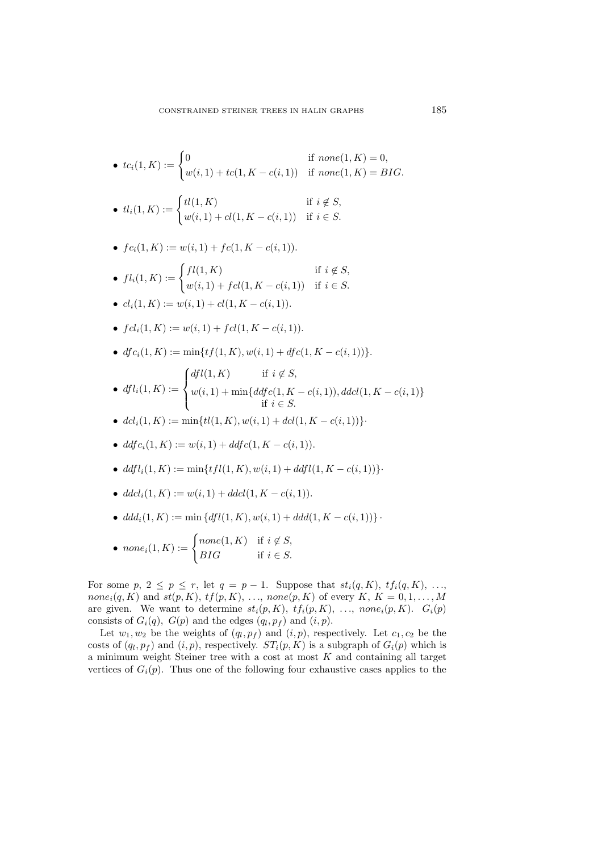•  $tc_i(1, K) := \begin{cases} 0 & \text{if none}(1, K) = 0, \\ \dots & \text{if none}(1, K) = 0, \end{cases}$  $w(i, 1) + tc(1, K - c(i, 1))$  if  $none(1, K) = BIG$ .

• 
$$
tl_i(1, K) := \begin{cases} tl(1, K) & \text{if } i \notin S, \\ w(i, 1) + cl(1, K - c(i, 1)) & \text{if } i \in S. \end{cases}
$$

• 
$$
fc_i(1, K) := w(i, 1) + fc(1, K - c(i, 1)).
$$

- $fl_i(1, K) := \begin{cases} fl(1, K) & \text{if } i \notin S, \\ \frac{m(i+1) + K l(1, K)}{m(i+1) + K l(1, K)} & \text{if } i \in S, \end{cases}$  $w(i, 1) + fcl(1, K - c(i, 1))$  if  $i \in S$ .
- $cl_i(1, K) := w(i, 1) + cl(1, K c(i, 1))$ .
- $fcl_i(1, K) := w(i, 1) + fcl(1, K c(i, 1)).$
- $df c_i(1, K) := \min\{tf(1, K), w(i, 1) + df c(1, K c(i, 1))\}.$

• 
$$
dfl_i(1, K) := \begin{cases} dfl(1, K) & \text{if } i \notin S, \\ w(i, 1) + \min\{ddfc(1, K - c(i, 1)), ddcl(1, K - c(i, 1)\} \\ & \text{if } i \in S. \end{cases}
$$

- $dcl_i(1, K) := \min\{tl(1, K), w(i, 1) + dcl(1, K c(i, 1))\}$
- ddf  $c_i(1, K) := w(i, 1) + ddf c(1, K c(i, 1)).$
- ddfl<sub>i</sub> $(1, K) := \min\{tfl(1, K), w(i, 1) + ddfl(1, K c(i, 1))\}$
- $ddcl_i(1, K) := w(i, 1) + d dcl(1, K c(i, 1)).$
- $ddd_i(1, K) := \min \{ddl(1, K), w(i, 1) + ddd(1, K c(i, 1))\}$ .

• none<sub>i</sub>(1, K) :=   

$$
\begin{cases} none(1, K) & \text{if } i \notin S, \\ BIG & \text{if } i \in S. \end{cases}
$$

For some  $p, 2 \leq p \leq r$ , let  $q = p - 1$ . Suppose that  $st_i(q, K), tf_i(q, K), ...,$ none<sub>i</sub> $(q, K)$  and  $st(p, K)$ ,  $tf(p, K)$ , ..., none $(p, K)$  of every K,  $K = 0, 1, \ldots, M$ are given. We want to determine  $st_i(p, K)$ ,  $tf_i(p, K)$ , ...,  $none_i(p, K)$ .  $G_i(p)$ consists of  $G_i(q)$ ,  $G(p)$  and the edges  $(q_l, p_f)$  and  $(i, p)$ .

Let  $w_1, w_2$  be the weights of  $(q_l, p_f)$  and  $(i, p)$ , respectively. Let  $c_1, c_2$  be the costs of  $(q_l, p_f)$  and  $(i, p)$ , respectively.  $ST_i(p, K)$  is a subgraph of  $G_i(p)$  which is a minimum weight Steiner tree with a cost at most  $K$  and containing all target vertices of  $G_i(p)$ . Thus one of the following four exhaustive cases applies to the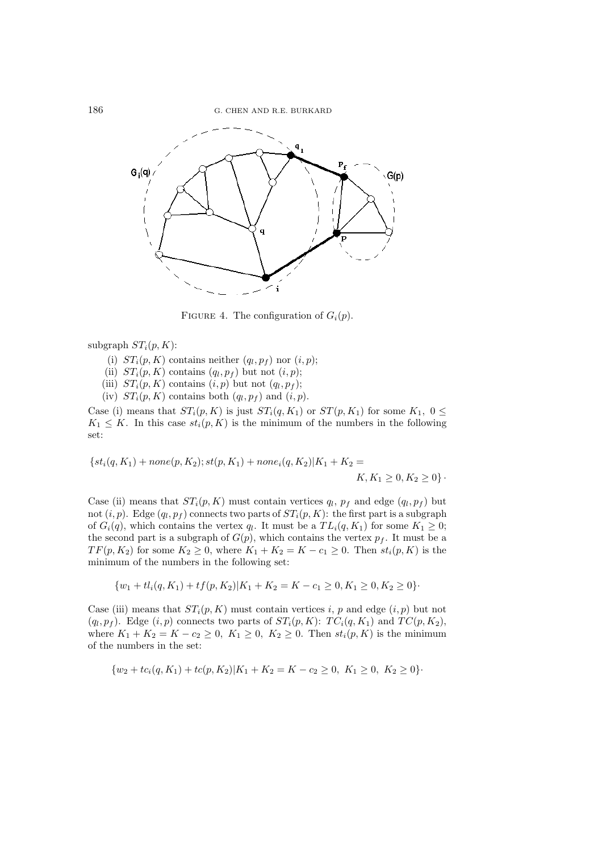

FIGURE 4. The configuration of  $G_i(p)$ .

subgraph  $ST_i(p, K)$ :

- (i)  $ST_i(p, K)$  contains neither  $(q_l, p_f)$  nor  $(i, p)$ ;
- (ii)  $ST_i(p, K)$  contains  $(q_l, p_f)$  but not  $(i, p)$ ;
- (iii)  $ST_i(p, K)$  contains  $(i, p)$  but not  $(q_l, p_f)$ ;
- (iv)  $ST_i(p, K)$  contains both  $(q_l, p_f)$  and  $(i, p)$ .

Case (i) means that  $ST_i(p, K)$  is just  $ST_i(q, K_1)$  or  $ST(p, K_1)$  for some  $K_1, 0 \leq$  $K_1 \leq K$ . In this case  $st_i(p, K)$  is the minimum of the numbers in the following set:

$$
\{st_i(q, K_1) + none(p, K_2); st(p, K_1) + none_i(q, K_2)|K_1 + K_2 = K, K_1 \ge 0, K_2 \ge 0\}.
$$

Case (ii) means that  $ST_i(p, K)$  must contain vertices  $q_l$ ,  $p_f$  and edge  $(q_l, p_f)$  but not  $(i, p)$ . Edge  $(q_l, p_f)$  connects two parts of  $ST_i(p, K)$ : the first part is a subgraph of  $G_i(q)$ , which contains the vertex  $q_l$ . It must be a  $TL_i(q, K_1)$  for some  $K_1 \geq 0$ ; the second part is a subgraph of  $G(p)$ , which contains the vertex  $p_f$ . It must be a  $TF(p, K_2)$  for some  $K_2 \geq 0$ , where  $K_1 + K_2 = K - c_1 \geq 0$ . Then  $st_i(p, K)$  is the minimum of the numbers in the following set:

$$
\{w_1 + tl_i(q, K_1) + tf(p, K_2)|K_1 + K_2 = K - c_1 \ge 0, K_1 \ge 0, K_2 \ge 0\}.
$$

Case (iii) means that  $ST_i(p, K)$  must contain vertices i, p and edge  $(i, p)$  but not  $(q_l, p_f)$ . Edge  $(i, p)$  connects two parts of  $ST_i(p, K)$ :  $TC_i(q, K_1)$  and  $TC(p, K_2)$ , where  $K_1 + K_2 = K - c_2 \ge 0$ ,  $K_1 \ge 0$ ,  $K_2 \ge 0$ . Then  $st_i(p, K)$  is the minimum of the numbers in the set:

$$
{w_2 + tc_i(q, K_1) + tc(p, K_2)|K_1 + K_2 = K - c_2 \ge 0, \ K_1 \ge 0, \ K_2 \ge 0}.
$$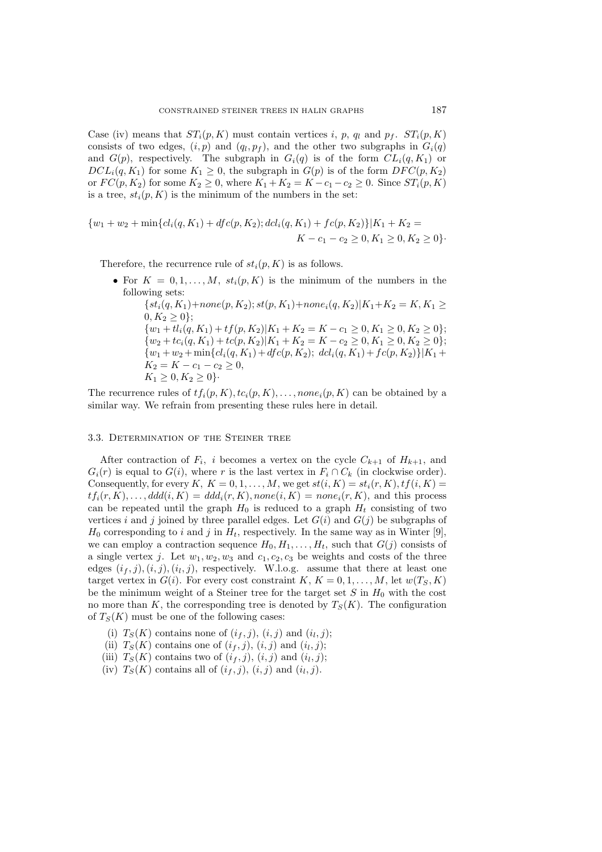Case (iv) means that  $ST_i(p, K)$  must contain vertices i, p, q<sub>l</sub> and p<sub>f</sub>.  $ST_i(p, K)$ consists of two edges,  $(i, p)$  and  $(q<sub>l</sub>, p<sub>f</sub>)$ , and the other two subgraphs in  $G<sub>i</sub>(q)$ and  $G(p)$ , respectively. The subgraph in  $G_i(q)$  is of the form  $CL_i(q, K_1)$  or  $DCL_i(q, K_1)$  for some  $K_1 \geq 0$ , the subgraph in  $G(p)$  is of the form  $DFC(p, K_2)$ or  $FC(p, K_2)$  for some  $K_2 \geq 0$ , where  $K_1 + K_2 = K - c_1 - c_2 \geq 0$ . Since  $ST_i(p, K)$ is a tree,  $st_i(p, K)$  is the minimum of the numbers in the set:

$$
{w_1 + w_2 + \min \{ cl_i(q, K_1) + dfc(p, K_2) \} dcl_i(q, K_1) + fc(p, K_2) } | K_1 + K_2 = K - c_1 - c_2 \ge 0, K_1 \ge 0, K_2 \ge 0 \}.
$$

Therefore, the recurrence rule of  $st_i(p, K)$  is as follows.

• For  $K = 0, 1, \ldots, M$ ,  $st_i(p, K)$  is the minimum of the numbers in the following sets:

 $\{st_i(q, K_1) + none(p, K_2); st(p, K_1) + none_i(q, K_2)|K_1 + K_2 = K, K_1 \ge$  $0, K_2 > 0$ ;  $\{w_1 + tl_i(q, K_1) + tf(p, K_2)|K_1 + K_2 = K - c_1 \ge 0, K_1 \ge 0, K_2 \ge 0\};$  $\{w_2+tc_i(q,K_1)+tc(p,K_2)|K_1+K_2=K-c_2\geq 0, K_1\geq 0, K_2\geq 0\};$  $\{w_1+w_2+\min\{cl_i(q,K_1)+dfc(p,K_2); \,dcl_i(q,K_1)+fc(p,K_2)\}\vert K_1+$  $K_2 = K - c_1 - c_2 \geq 0,$  $K_1 \geq 0, K_2 \geq 0$ .

The recurrence rules of  $tf_i(p, K), tc_i(p, K), \ldots, none_i(p, K)$  can be obtained by a similar way. We refrain from presenting these rules here in detail.

#### 3.3. Determination of the Steiner tree

After contraction of  $F_i$ , i becomes a vertex on the cycle  $C_{k+1}$  of  $H_{k+1}$ , and  $G_i(r)$  is equal to  $G(i)$ , where r is the last vertex in  $F_i \cap C_k$  (in clockwise order). Consequently, for every K,  $K = 0, 1, \ldots, M$ , we get  $st(i, K) = st_i(r, K), tf(i, K) =$  $tf_i(r, K), \ldots, ddd(i, K) = ddd_i(r, K), none(i, K) = none_i(r, K)$ , and this process can be repeated until the graph  $H_0$  is reduced to a graph  $H_t$  consisting of two vertices i and j joined by three parallel edges. Let  $G(i)$  and  $G(j)$  be subgraphs of  $H_0$  corresponding to i and j in  $H_t$ , respectively. In the same way as in Winter [9], we can employ a contraction sequence  $H_0, H_1, \ldots, H_t$ , such that  $G(j)$  consists of a single vertex j. Let  $w_1, w_2, w_3$  and  $c_1, c_2, c_3$  be weights and costs of the three edges  $(i_f, j), (i_i, j), (i_l, j)$ , respectively. W.l.o.g. assume that there at least one target vertex in  $G(i)$ . For every cost constraint  $K, K = 0, 1, \ldots, M$ , let  $w(T_S, K)$ be the minimum weight of a Steiner tree for the target set  $S$  in  $H_0$  with the cost no more than K, the corresponding tree is denoted by  $T_S(K)$ . The configuration of  $T_s(K)$  must be one of the following cases:

- (i)  $T_S(K)$  contains none of  $(i_f, j)$ ,  $(i, j)$  and  $(i_l, j)$ ;
- (ii)  $T_S(K)$  contains one of  $(i_f, j)$ ,  $(i, j)$  and  $(i_l, j)$ ;
- (iii)  $T_S(K)$  contains two of  $(i_f, j)$ ,  $(i, j)$  and  $(i_l, j)$ ;
- (iv)  $T_S(K)$  contains all of  $(i_f, j)$ ,  $(i, j)$  and  $(i_l, j)$ .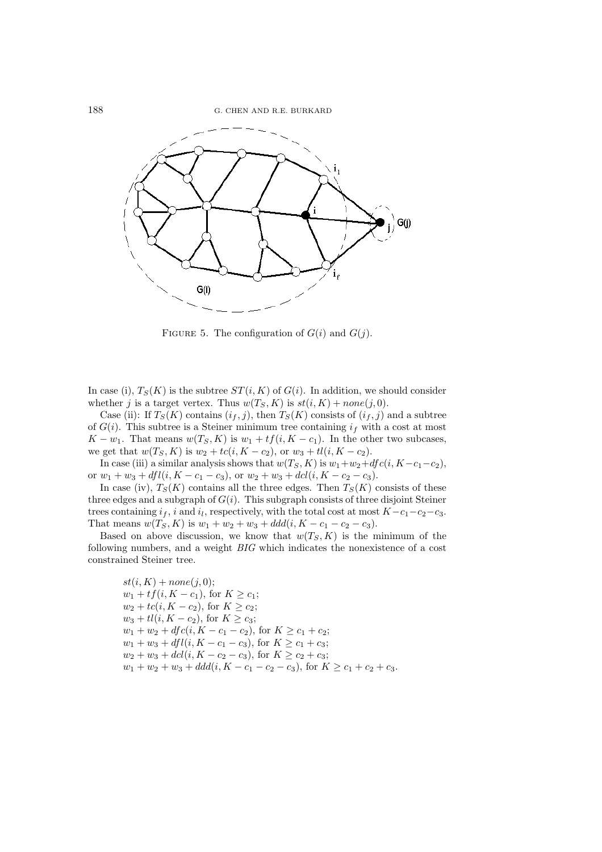

FIGURE 5. The configuration of  $G(i)$  and  $G(j)$ .

In case (i),  $T_S(K)$  is the subtree  $ST(i, K)$  of  $G(i)$ . In addition, we should consider whether j is a target vertex. Thus  $w(T_S, K)$  is  $st(i, K) + none(j, 0)$ .

Case (ii): If  $T_S(K)$  contains  $(i_f, j)$ , then  $T_S(K)$  consists of  $(i_f, j)$  and a subtree of  $G(i)$ . This subtree is a Steiner minimum tree containing  $i_f$  with a cost at most  $K - w_1$ . That means  $w(T_S, K)$  is  $w_1 + tf(i, K - c_1)$ . In the other two subcases, we get that  $w(T_S, K)$  is  $w_2 + tc(i, K - c_2)$ , or  $w_3 + tl(i, K - c_2)$ .

In case (iii) a similar analysis shows that  $w(T_S, K)$  is  $w_1 + w_2 + df c(i, K - c_1 - c_2)$ , or  $w_1 + w_3 + dfl(i, K - c_1 - c_3)$ , or  $w_2 + w_3 + dcl(i, K - c_2 - c_3)$ .

In case (iv),  $T_S(K)$  contains all the three edges. Then  $T_S(K)$  consists of these three edges and a subgraph of  $G(i)$ . This subgraph consists of three disjoint Steiner trees containing  $i_f$ , i and  $i_l$ , respectively, with the total cost at most  $K-c_1-c_2-c_3$ . That means  $w(T_S, K)$  is  $w_1 + w_2 + w_3 + ddd(i, K - c_1 - c_2 - c_3)$ .

Based on above discussion, we know that  $w(T_S, K)$  is the minimum of the following numbers, and a weight *BIG* which indicates the nonexistence of a cost constrained Steiner tree.

$$
st(i, K) + none(j, 0);
$$
  
\n
$$
w_1 + tf(i, K - c_1), \text{ for } K \ge c_1;
$$
  
\n
$$
w_2 + tc(i, K - c_2), \text{ for } K \ge c_2;
$$
  
\n
$$
w_3 + tl(i, K - c_2), \text{ for } K \ge c_3;
$$
  
\n
$$
w_1 + w_2 + dfc(i, K - c_1 - c_2), \text{ for } K \ge c_1 + c_2;
$$
  
\n
$$
w_1 + w_3 + dfl(i, K - c_1 - c_3), \text{ for } K \ge c_1 + c_3;
$$
  
\n
$$
w_2 + w_3 + dcl(i, K - c_2 - c_3), \text{ for } K \ge c_2 + c_3;
$$
  
\n
$$
w_1 + w_2 + w_3 + ddd(i, K - c_1 - c_2 - c_3), \text{ for } K \ge c_1 + c_2 + c_3.
$$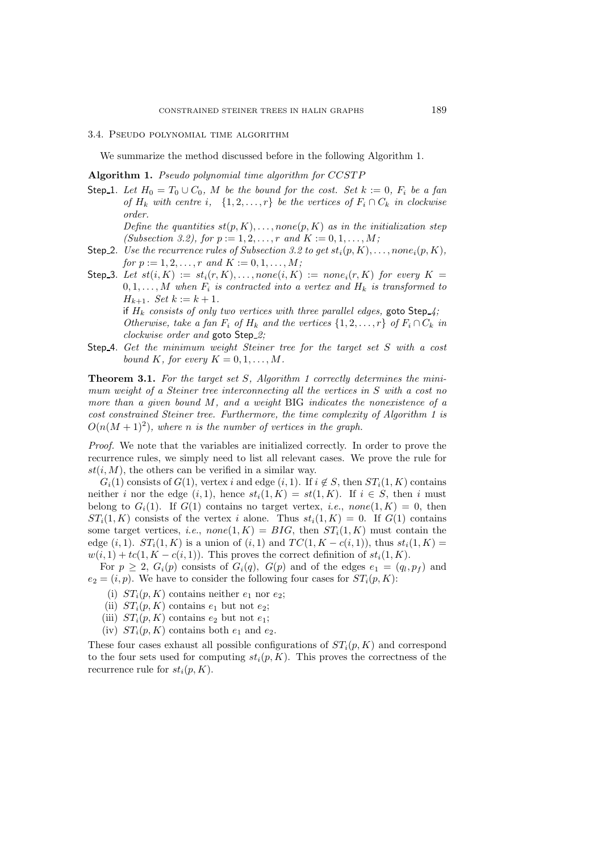#### 3.4. Pseudo polynomial time algorithm

We summarize the method discussed before in the following Algorithm 1.

**Algorithm 1.** *Pseudo polynomial time algorithm for* CCSTP

Step 1. Let  $H_0 = T_0 \cup C_0$ , M be the bound for the cost. Set  $k := 0$ ,  $F_i$  be a fan *of*  $H_k$  *with centre i*,  $\{1, 2, ..., r\}$  *be the vertices of*  $F_i \cap C_k$  *in clockwise order.*

*Define the quantities*  $st(p, K), \ldots, none(p, K)$  *as in the initialization step (Subsection 3.2), for*  $p := 1, 2, ..., r$  *and*  $K := 0, 1, ..., M$ *;* 

- Step 2. *Use the recurrence rules of Subsection 3.2 to get*  $st_i(p, K), \ldots, none_i(p, K)$ , *for*  $p := 1, 2, ..., r$  *and*  $K := 0, 1, ..., M$ *;*
- Step 3. Let  $st(i, K) := st_i(r, K), \ldots$ , none $(i, K) := none_i(r, K)$  for every  $K =$  $0, 1, \ldots, M$  when  $F_i$  is contracted into a vertex and  $H_k$  is transformed to  $H_{k+1}$ *. Set*  $k := k+1$ *.*

if  $H_k$  consists of only two vertices with three parallel edges, goto Step<sub>-4</sub>; *Otherwise, take a fan*  $F_i$  *of*  $H_k$  *and the vertices*  $\{1, 2, ..., r\}$  *of*  $F_i \cap C_k$  *in clockwise order and* goto Step *2;*

Step 4. *Get the minimum weight Steiner tree for the target set* S *with a cost bound* K, for every  $K = 0, 1, \ldots, M$ .

**Theorem 3.1.** *For the target set* S*, Algorithm 1 correctly determines the minimum weight of a Steiner tree interconnecting all the vertices in* S *with a cost no more than a given bound* M*, and a weight* BIG *indicates the nonexistence of a cost constrained Steiner tree. Furthermore, the time complexity of Algorithm 1 is*  $O(n(M+1)^2)$ , where *n* is the number of vertices in the graph.

*Proof.* We note that the variables are initialized correctly. In order to prove the recurrence rules, we simply need to list all relevant cases. We prove the rule for  $st(i, M)$ , the others can be verified in a similar way.

 $G_i(1)$  consists of  $G(1)$ , vertex i and edge  $(i, 1)$ . If  $i \notin S$ , then  $ST_i(1, K)$  contains neither i nor the edge  $(i, 1)$ , hence  $st_i(1, K) = st(1, K)$ . If  $i \in S$ , then i must belong to  $G_i(1)$ . If  $G(1)$  contains no target vertex, *i.e.*, none $(1, K) = 0$ , then  $ST_i(1, K)$  consists of the vertex i alone. Thus  $st_i(1, K) = 0$ . If  $G(1)$  contains some target vertices, *i.e.*,  $none(1, K) = BIG$ , then  $ST<sub>i</sub>(1, K)$  must contain the edge  $(i, 1)$ .  $ST_i(1, K)$  is a union of  $(i, 1)$  and  $TC(1, K - c(i, 1))$ , thus  $st_i(1, K) =$  $w(i, 1) + tc(1, K - c(i, 1))$ . This proves the correct definition of  $st_i(1, K)$ .

For  $p \geq 2$ ,  $G_i(p)$  consists of  $G_i(q)$ ,  $G(p)$  and of the edges  $e_1 = (q_i, p_f)$  and  $e_2 = (i, p)$ . We have to consider the following four cases for  $ST_i(p, K)$ :

- (i)  $ST_i(p, K)$  contains neither  $e_1$  nor  $e_2$ ;
- (ii)  $ST_i(p, K)$  contains  $e_1$  but not  $e_2$ ;
- (iii)  $ST_i(p, K)$  contains  $e_2$  but not  $e_1$ ;
- (iv)  $ST_i(p, K)$  contains both  $e_1$  and  $e_2$ .

These four cases exhaust all possible configurations of  $ST_i(p, K)$  and correspond to the four sets used for computing  $st_i(p, K)$ . This proves the correctness of the recurrence rule for  $st_i(p, K)$ .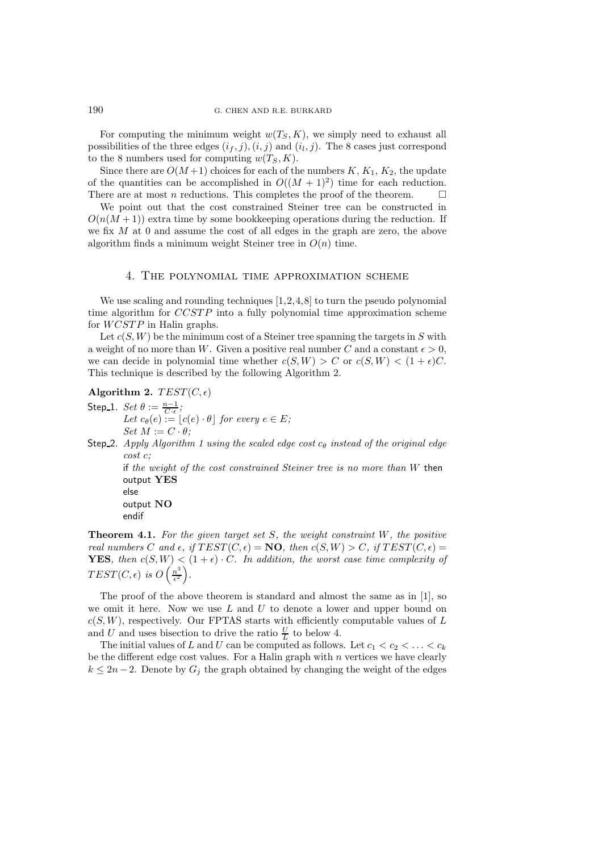For computing the minimum weight  $w(T_S, K)$ , we simply need to exhaust all possibilities of the three edges  $(i_f, j), (i, j)$  and  $(i_l, j)$ . The 8 cases just correspond to the 8 numbers used for computing  $w(T_S, K)$ .

Since there are  $O(M+1)$  choices for each of the numbers  $K, K_1, K_2$ , the update of the quantities can be accomplished in  $O((M + 1)^2)$  time for each reduction. There are at most n reductions. This completes the proof of the theorem.  $\Box$ 

We point out that the cost constrained Steiner tree can be constructed in  $O(n(M+1))$  extra time by some bookkeeping operations during the reduction. If we fix  $M$  at 0 and assume the cost of all edges in the graph are zero, the above algorithm finds a minimum weight Steiner tree in  $O(n)$  time.

### 4. The polynomial time approximation scheme

We use scaling and rounding techniques [1,2,4,8] to turn the pseudo polynomial time algorithm for CCSTP into a fully polynomial time approximation scheme for WCSTP in Halin graphs.

Let  $c(S, W)$  be the minimum cost of a Steiner tree spanning the targets in S with a weight of no more than W. Given a positive real number C and a constant  $\epsilon > 0$ , we can decide in polynomial time whether  $c(S, W) > C$  or  $c(S, W) < (1 + \epsilon)C$ . This technique is described by the following Algorithm 2.

**Algorithm 2.**  $TEST(C, \epsilon)$ 

- Step 1.  $Set \theta := \frac{n-1}{C \cdot \epsilon};$ <br>  $Let \ c_{\theta}(e) := \lfloor c(e) \cdot \theta \rfloor \ for \ every \ e \in E;$  $Set M := C \cdot \theta;$
- Step 2. *Apply Algorithm 1 using the scaled edge cost*  $c_{\theta}$  *instead of the original edge cost* c*;*

if *the weight of the cost constrained Steiner tree is no more than* W then output **YES**

else output **NO** endif

**Theorem 4.1.** *For the given target set* S*, the weight constraint* W*, the positive real numbers* C and  $\epsilon$ , if  $TEST(C, \epsilon) = \mathbf{NO}$ , then  $c(S, W) > C$ , if  $TEST(C, \epsilon) =$ **YES***, then*  $c(S, W) < (1 + \epsilon) \cdot C$ *. In addition, the worst case time complexity of*  $TEST(C, \epsilon)$  is  $O\left(\frac{n^3}{\epsilon^2}\right)$ .

The proof of the above theorem is standard and almost the same as in [1], so we omit it here. Now we use  $L$  and  $U$  to denote a lower and upper bound on  $c(S, W)$ , respectively. Our FPTAS starts with efficiently computable values of L and U and uses bisection to drive the ratio  $\frac{U}{L}$  to below 4.

The initial values of L and U can be computed as follows. Let  $c_1 < c_2 < \ldots < c_k$ be the different edge cost values. For a Halin graph with  $n$  vertices we have clearly  $k \leq 2n-2$ . Denote by  $G_j$  the graph obtained by changing the weight of the edges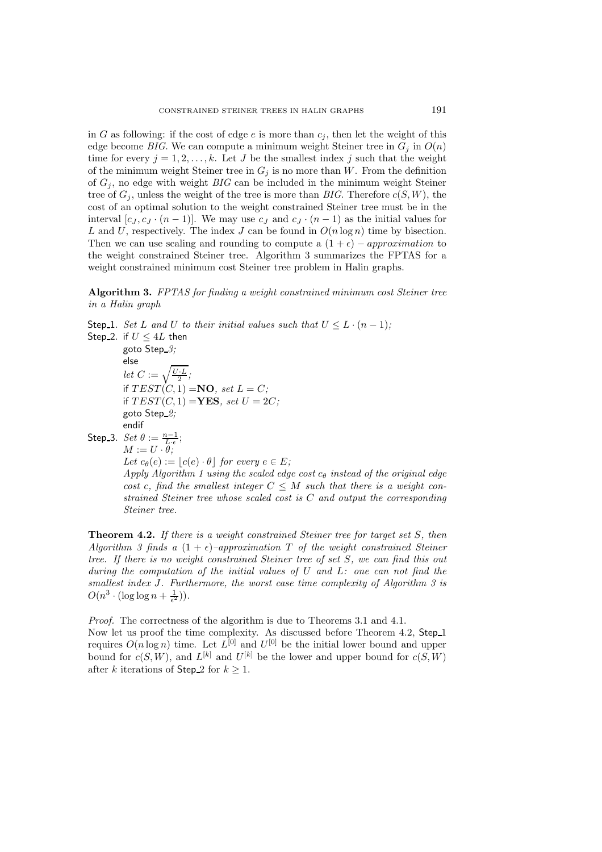in G as following: if the cost of edge e is more than  $c_j$ , then let the weight of this edge become *BIG*. We can compute a minimum weight Steiner tree in  $G_j$  in  $O(n)$ time for every  $j = 1, 2, \ldots, k$ . Let J be the smallest index j such that the weight of the minimum weight Steiner tree in  $G_j$  is no more than W. From the definition of  $G_i$ , no edge with weight  $BIG$  can be included in the minimum weight Steiner tree of  $G_i$ , unless the weight of the tree is more than *BIG*. Therefore  $c(S, W)$ , the cost of an optimal solution to the weight constrained Steiner tree must be in the interval  $[c_J, c_J \cdot (n-1)]$ . We may use  $c_J$  and  $c_J \cdot (n-1)$  as the initial values for L and U, respectively. The index J can be found in  $O(n \log n)$  time by bisection. Then we can use scaling and rounding to compute a  $(1 + \epsilon)$  – approximation to the weight constrained Steiner tree. Algorithm 3 summarizes the FPTAS for a weight constrained minimum cost Steiner tree problem in Halin graphs.

# **Algorithm 3.** *FPTAS for finding a weight constrained minimum cost Steiner tree in a Halin graph*

Step 1. *Set* L and U to their initial values such that  $U \leq L \cdot (n-1)$ ; Step 2. if  $U \leq 4L$  then goto Step *3;* else *let*  $C := \sqrt{\frac{U \cdot L}{2}}$ ; if  $TEST(C, 1) = \mathbf{NO}$ *, set*  $L = C$ *;* if  $TEST(C, 1) = \textbf{YES}, set U = 2C$ ; goto Step *2;* endif Step 3.  $Set \theta := \frac{n-1}{L \cdot \epsilon};$ <br> $M := U \cdot \theta;$ *Let*  $c_{\theta}(e) := |c(e) \cdot \theta|$  *for every*  $e \in E$ *; Apply Algorithm 1 using the scaled edge cost c<sub>θ</sub> instead of the original edge cost* c, find the smallest integer  $C \leq M$  such that there is a weight con*strained Steiner tree whose scaled cost is* C *and output the corresponding Steiner tree.*

**Theorem 4.2.** *If there is a weight constrained Steiner tree for target set* S*, then Algorithm 3 finds a*  $(1 + \epsilon)$ *–approximation* T *of the weight constrained Steiner tree. If there is no weight constrained Steiner tree of set* S*, we can find this out during the computation of the initial values of* U *and* L*: one can not find the smallest index* J*. Furthermore, the worst case time complexity of Algorithm 3 is*  $O(n^3 \cdot (\log \log n + \frac{1}{\epsilon^2}))$ .

*Proof.* The correctness of the algorithm is due to Theorems 3.1 and 4.1.

Now let us proof the time complexity. As discussed before Theorem 4.2, Step<sub>-1</sub> requires  $O(n \log n)$  time. Let  $L^{[0]}$  and  $U^{[0]}$  be the initial lower bound and upper bound for  $c(S, W)$ , and  $L^{[k]}$  and  $U^{[k]}$  be the lower and upper bound for  $c(S, W)$ after k iterations of Step 2 for  $k \geq 1$ .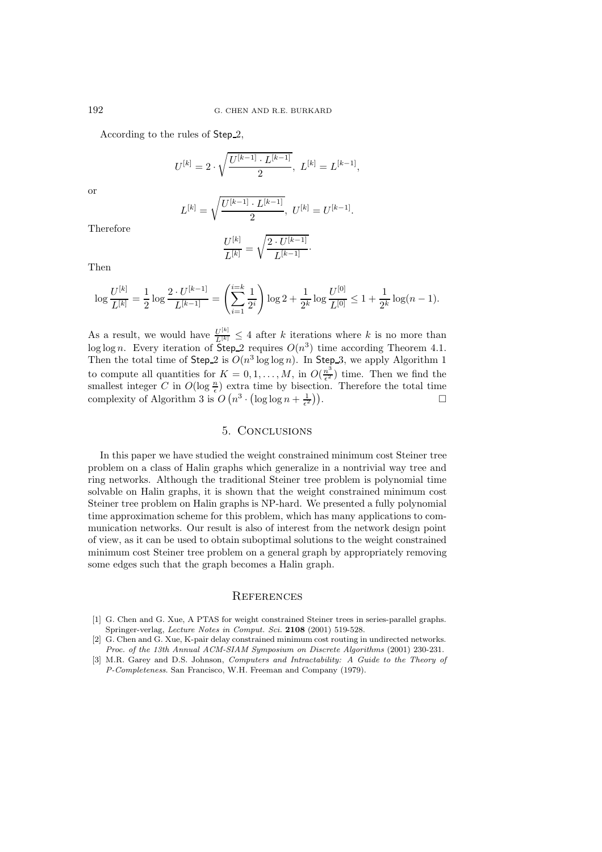According to the rules of Step<sub>-2</sub>,

$$
U^{[k]} = 2 \cdot \sqrt{\frac{U^{[k-1]} \cdot L^{[k-1]}}{2}}, \ L^{[k]} = L^{[k-1]},
$$

or

$$
L^{[k]} = \sqrt{\frac{U^{[k-1]} \cdot L^{[k-1]}}{2}}, \ U^{[k]} = U^{[k-1]}.
$$

Therefore

$$
\frac{U^{[k]}}{L^{[k]}} = \sqrt{\frac{2 \cdot U^{[k-1]}}{L^{[k-1]}}}.
$$

Then

$$
\log \frac{U^{[k]}}{L^{[k]}} = \frac{1}{2} \log \frac{2 \cdot U^{[k-1]}}{L^{[k-1]}} = \left(\sum_{i=1}^{i=k} \frac{1}{2^i}\right) \log 2 + \frac{1}{2^k} \log \frac{U^{[0]}}{L^{[0]}} \le 1 + \frac{1}{2^k} \log(n-1).
$$

As a result, we would have  $\frac{U^{[k]}}{L^{[k]}} \leq 4$  after k iterations where k is no more than log log n. Every iteration of Step 2 requires  $O(n^3)$  time according Theorem 4.1. Then the total time of Step 2 is  $O(n^3 \log \log n)$ . In Step 3, we apply Algorithm 1 to compute all quantities for  $K = 0, 1, ..., M$ , in  $O(\frac{n^3}{\epsilon^2})$  time. Then we find the smallest integer C in  $O(\log \frac{n}{\epsilon})$  extra time by bisection. Therefore the total time complexity of Algorithm 3 is  $O(n^3 \cdot (\log \log n + \frac{1}{\epsilon^2}))$ )).  $\qquad \qquad \Box$ 

# 5. Conclusions

In this paper we have studied the weight constrained minimum cost Steiner tree problem on a class of Halin graphs which generalize in a nontrivial way tree and ring networks. Although the traditional Steiner tree problem is polynomial time solvable on Halin graphs, it is shown that the weight constrained minimum cost Steiner tree problem on Halin graphs is NP-hard. We presented a fully polynomial time approximation scheme for this problem, which has many applications to communication networks. Our result is also of interest from the network design point of view, as it can be used to obtain suboptimal solutions to the weight constrained minimum cost Steiner tree problem on a general graph by appropriately removing some edges such that the graph becomes a Halin graph.

## **REFERENCES**

- [1] G. Chen and G. Xue, A PTAS for weight constrained Steiner trees in series-parallel graphs. Springer-verlag, Lecture Notes in Comput. Sci. **2108** (2001) 519-528.
- [2] G. Chen and G. Xue, K-pair delay constrained minimum cost routing in undirected networks. Proc. of the 13th Annual ACM-SIAM Symposium on Discrete Algorithms (2001) 230-231.
- [3] M.R. Garey and D.S. Johnson, Computers and Intractability: A Guide to the Theory of P-Completeness. San Francisco, W.H. Freeman and Company (1979).